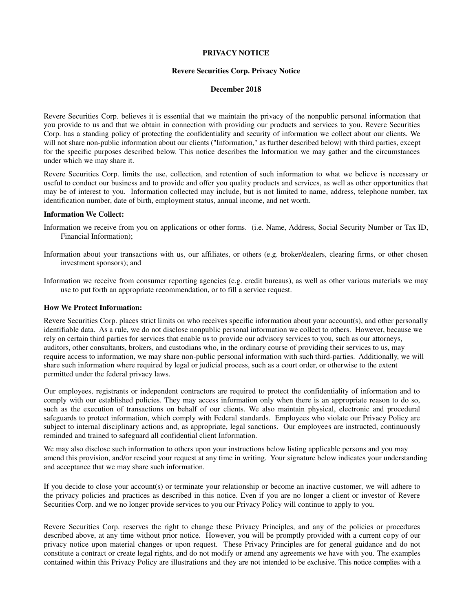## **PRIVACY NOTICE**

## **Revere Securities Corp. Privacy Notice**

## **December 2018**

Revere Securities Corp. believes it is essential that we maintain the privacy of the nonpublic personal information that you provide to us and that we obtain in connection with providing our products and services to you. Revere Securities Corp. has a standing policy of protecting the confidentiality and security of information we collect about our clients. We will not share non-public information about our clients ("Information," as further described below) with third parties, except for the specific purposes described below. This notice describes the Information we may gather and the circumstances under which we may share it.

Revere Securities Corp. limits the use, collection, and retention of such information to what we believe is necessary or useful to conduct our business and to provide and offer you quality products and services, as well as other opportunities that may be of interest to you. Information collected may include, but is not limited to name, address, telephone number, tax identification number, date of birth, employment status, annual income, and net worth.

#### **Information We Collect:**

- Information we receive from you on applications or other forms. (i.e. Name, Address, Social Security Number or Tax ID, Financial Information);
- Information about your transactions with us, our affiliates, or others (e.g. broker/dealers, clearing firms, or other chosen investment sponsors); and
- Information we receive from consumer reporting agencies (e.g. credit bureaus), as well as other various materials we may use to put forth an appropriate recommendation, or to fill a service request.

## **How We Protect Information:**

Revere Securities Corp. places strict limits on who receives specific information about your account(s), and other personally identifiable data. As a rule, we do not disclose nonpublic personal information we collect to others. However, because we rely on certain third parties for services that enable us to provide our advisory services to you, such as our attorneys, auditors, other consultants, brokers, and custodians who, in the ordinary course of providing their services to us, may require access to information, we may share non-public personal information with such third-parties. Additionally, we will share such information where required by legal or judicial process, such as a court order, or otherwise to the extent permitted under the federal privacy laws.

Our employees, registrants or independent contractors are required to protect the confidentiality of information and to comply with our established policies. They may access information only when there is an appropriate reason to do so, such as the execution of transactions on behalf of our clients. We also maintain physical, electronic and procedural safeguards to protect information, which comply with Federal standards. Employees who violate our Privacy Policy are subject to internal disciplinary actions and, as appropriate, legal sanctions. Our employees are instructed, continuously reminded and trained to safeguard all confidential client Information.

We may also disclose such information to others upon your instructions below listing applicable persons and you may amend this provision, and/or rescind your request at any time in writing. Your signature below indicates your understanding and acceptance that we may share such information.

If you decide to close your account(s) or terminate your relationship or become an inactive customer, we will adhere to the privacy policies and practices as described in this notice. Even if you are no longer a client or investor of Revere Securities Corp. and we no longer provide services to you our Privacy Policy will continue to apply to you.

Revere Securities Corp. reserves the right to change these Privacy Principles, and any of the policies or procedures described above, at any time without prior notice. However, you will be promptly provided with a current copy of our privacy notice upon material changes or upon request. These Privacy Principles are for general guidance and do not constitute a contract or create legal rights, and do not modify or amend any agreements we have with you. The examples contained within this Privacy Policy are illustrations and they are not intended to be exclusive. This notice complies with a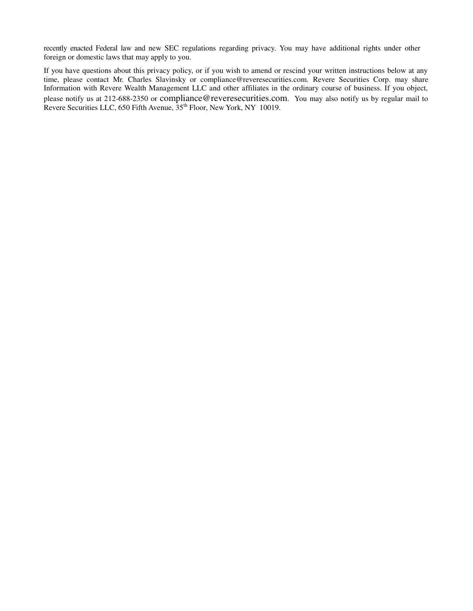recently enacted Federal law and new SEC regulations regarding privacy. You may have additional rights under other foreign or domestic laws that may apply to you.

If you have questions about this privacy policy, or if you wish to amend or rescind your written instructions below at any time, please contact Mr. Charles Slavinsky or compliance@reveresecurities.com. Revere Securities Corp. may share Information with Revere Wealth Management LLC and other affiliates in the ordinary course of business. If you object, please notify us at 212-688-2350 or [compliance@reveresecurities.com](mailto:compliance@reveresecurities.com). You may also notify us by regular mail to Revere Securities LLC, 650 Fifth Avenue,  $35<sup>th</sup>$  Floor, New York, NY 10019.